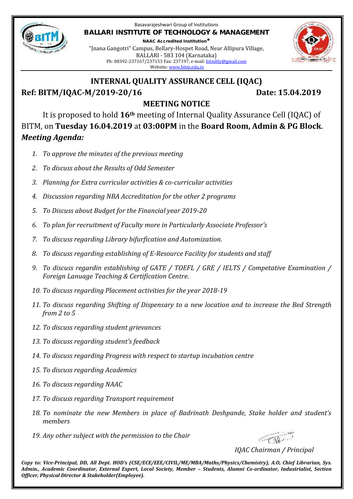

Basavarajeshwari Group of Institutions **BALLARI INSTITUTE OF TECHNOLOGY & MANAGEMENT NAAC Accredited Institution\*** "Jnana Gangotri" Campus, Bellary-Hospet Road, Near Allipura Village,

> BALLARI - 583 104 (Karnataka) Ph: 08392-237167/237153 Fax: 237197, e-mail: bitmbly@gmail.com Website: www.bitm.edu.in



# **INTERNAL QUALITY ASSURANCE CELL (IQAC)**

**Ref: BITM/IQAC-M/2019-20/16 Date: 15.04.2019**

# **MEETING NOTICE**

It is proposed to hold **16th** meeting of Internal Quality Assurance Cell (IQAC) of BITM, on **Tuesday 16.04.2019** at **03:00PM** in the**Board Room, Admin & PG Block**. *Meeting Agenda:*

- *1. To approve the minutes of the previous meeting*
- *2. To discuss about the Results of Odd Semester*
- *3. Planning for Extra curricular activities & co-curricular activities*
- *4. Discussion regarding NBA Accreditation for the other 2 programs*
- *5. To Discuss about Budget for the Financial year 2019-20*
- *6. To plan for recruitment of Faculty more in Particularly Associate Professor's*
- *7. To discuss regarding Library bifurfication and Automization.*
- *8. To discuss regarding establishing of E-Resource Facility for students and staff*
- *9. To discuss regardin establishing of GATE / TOEFL / GRE / IELTS / Competative Examination / Foreign Lanuage Teaching & Certification Centre.*
- *10. To discuss regarding Placement activities for the year 2018-19*
- *11. To discuss regarding Shifting of Dispensary to a new location and to increase the Bed Strength from 2 to 5*
- *12. To discuss regarding student grievances*
- *13. To discuss regarding student's feedback*
- *14. To discuss regarding Progress with respect to startup incubation centre*
- *15. To discuss regarding Academics*
- *16. To discuss regarding NAAC*
- *17. To discuss regarding Transport requirement*
- *18. To nominate the new Members in place of Badrinath Deshpande, Stake holder and student's members*
- *19. Any other subject with the permission to the Chair*

*IQAC Chairman / Principal*

*Copy to: Vice-Principal, DD, All Dept. HOD's (CSE/ECE/EEE/CIVIL/ME/MBA/Maths/Physics/Chemistry), A.O, Chief Librarian, Sys. Admin., Academic Coordinator, External Expert, Local Society, Member – Students, Alumni Co-ordinator, Industrialist, Section Officer, Physical Director & Stakeholder(Employee).*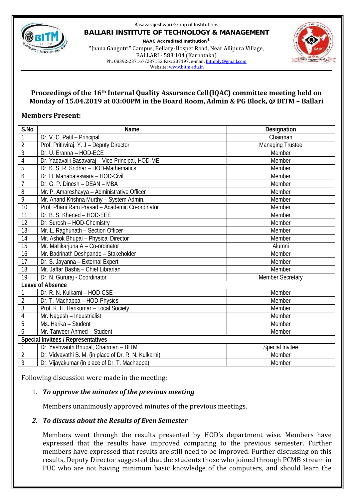

#### Basavarajeshwari Group of Institutions **BALLARI INSTITUTE OF TECHNOLOGY & MANAGEMENT NAAC Accredited Institution\*** "Jnana Gangotri" Campus, Bellary-Hospet Road, Near Allipura Village, BALLARI - 583 104 (Karnataka) Ph: 08392-237167/237153 Fax: 237197, e-mail: bitmbly@gmail.com



#### Website: www.bitm.edu.in

#### **Proceedings of the 16th Internal Quality Assurance Cell(IQAC) committee meeting held on Monday of 15.04.2019 at 03:00PM in the Board Room, Admin & PG Block, @ BITM – Ballari**

#### **Members Present:**

| S.No                               | Name                                                  | Designation             |
|------------------------------------|-------------------------------------------------------|-------------------------|
| $\mathbf{1}$                       | Dr. V. C. Patil - Principal                           | Chairman                |
| $\overline{2}$                     | Prof. Prithviraj. Y. J - Deputy Director              | <b>Managing Trustee</b> |
| 3                                  | Dr. U. Eranna - HOD-ECE                               | Member                  |
| $\sqrt{4}$                         | Dr. Yadavalli Basavaraj - Vice-Principal, HOD-ME      | Member                  |
| 5                                  | Dr. K. S. R. Sridhar - HOD-Mathematics                | Member                  |
| 6                                  | Dr. H. Mahabaleswara - HOD-Civil                      | Member                  |
| $\overline{1}$                     | Dr. G. P. Dinesh - DEAN - MBA                         | Member                  |
| 8                                  | Mr. P. Amareshayya - Administrative Officer           | Member                  |
| 9                                  | Mr. Anand Krishna Murthy - System Admin.              | Member                  |
| 10                                 | Prof. Phani Ram Prasad - Academic Co-ordinator        | Member                  |
| 11                                 | Dr. B. S. Khened - HOD-EEE                            | Member                  |
| 12                                 | Dr. Suresh - HOD-Chemistry                            | Member                  |
| 13                                 | Mr. L. Raghunath - Section Officer                    | Member                  |
| 14                                 | Mr. Ashok Bhupal - Physical Director                  | Member                  |
| $\overline{15}$                    | Mr. Mallikarjuna A - Co-ordinator                     | Alumni                  |
| 16                                 | Mr. Badrinath Deshpande - Stakeholder                 | Member                  |
| 17                                 | Dr. S. Jayanna - External Expert                      | Member                  |
| 18                                 | Mr. Jaffar Basha - Chief Librarian                    | Member                  |
| 19                                 | Dr. N. Gururaj - Coordinator                          | <b>Member Secretary</b> |
| Leave of Absence                   |                                                       |                         |
| 1                                  | Dr. R. N. Kulkarni - HOD-CSE                          | Member                  |
| $\overline{2}$                     | Dr. T. Machappa - HOD-Physics                         | Member                  |
| 3                                  | Prof. K. H. Harikumar - Local Society                 | Member                  |
| $\overline{4}$                     | Mr. Nagesh - Industrialist                            | Member                  |
| 5                                  | Ms. Harika - Student                                  | Member                  |
| 6                                  | Mr. Tanveer Ahmed - Student                           | Member                  |
| Special Invitees / Representatives |                                                       |                         |
| $\mathbf{1}$                       | Dr. Yashvanth Bhupal, Chairman - BITM                 | Special Invitee         |
| $\overline{2}$                     | Dr. Vidyavathi B. M. (in place of Dr. R. N. Kulkarni) | Member                  |
| $\overline{3}$                     | Dr. Vijayakumar (in place of Dr. T. Machappa)         | Member                  |

Following discussion were made in the meeting:

# 1. *To approve the minutes of the previous meeting*

Members unanimously approved minutes of the previous meetings.

#### *2. To discuss about the Results of Even Semester*

Members went through the results presented by HOD's department wise. Members have expressed that the results have improved comparing to the previous semester. Further members have expressed that results are still need to be improved. Further discussing on this results, Deputy Director suggested that the students those who joined through PCMB stream in PUC who are not having minimum basic knowledge of the computers, and should learn the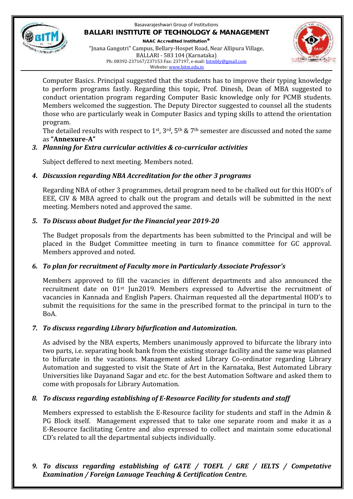

Basavarajeshwari Group of Institutions **BALLARI INSTITUTE OF TECHNOLOGY & MANAGEMENT NAAC Accredited Institution\*** "Jnana Gangotri" Campus, Bellary-Hospet Road, Near Allipura Village, BALLARI - 583 104 (Karnataka) Ph: 08392-237167/237153 Fax: 237197, e-mail: bitmbly@gmail.com Website: www.bitm.edu.in



Computer Basics. Principal suggested that the students has to improve their typing knowledge to perform programs fastly. Regarding this topic, Prof. Dinesh, Dean of MBA suggested to conduct orientation program regarding Computer Basic knowledge only for PCMB students. Members welcomed the suggestion. The Deputy Director suggested to counsel all the students those who are particularly weak in Computer Basics and typing skills to attend the orientation program.

The detailed results with respect to 1<sup>st</sup>, 3<sup>rd</sup>, 5<sup>th</sup> & 7<sup>th</sup> semester are discussed and noted the same as **"Annexure-A"**

# *3. Planning for Extra curricular activities & co-curricular activities*

Subject deffered to next meeting. Members noted.

# *4. Discussion regarding NBA Accreditation for the other 3 programs*

Regarding NBA of other 3 programmes, detail program need to be chalked out for this HOD's of EEE, CIV & MBA agreed to chalk out the program and details will be submitted in the next meeting. Members noted and approved the same.

# *5. To Discuss about Budget for the Financial year 2019-20*

The Budget proposals from the departments has been submitted to the Principal and will be placed in the Budget Committee meeting in turn to finance committee for GC approval. Members approved and noted.

# *6. To plan for recruitment of Faculty more in Particularly Associate Professor's*

Members approved to fill the vacancies in different departments and also announced the recruitment date on 01st Jun2019. Members expressed to Advertise the recruitment of vacancies in Kannada and English Papers. Chairman requested all the departmental HOD's to submit the requisitions for the same in the prescribed format to the principal in turn to the BoA.

# *7. To discuss regarding Library bifurfication and Automization.*

As advised by the NBA experts, Members unanimously approved to bifurcate the library into two parts, i.e. separating book bank from the existing storage facility and the same was planned to bifurcate in the vacations. Management asked Library Co-ordinator regarding Library Automation and suggested to visit the State of Art in the Karnataka, Best Automated Library Universities like Dayanand Sagar and etc. for the best Automation Software and asked them to come with proposals for Library Automation.

# *8. To discuss regarding establishing of E-Resource Facility for students and staff*

Members expressed to establish the E-Resource facility for students and staff in the Admin & PG Block itself. Management expressed that to take one separate room and make it as a E-Resource facilitating Centre and also expressed to collect and maintain some educational CD's related to all the departmental subjects individually.

*9. To discuss regarding establishing of GATE / TOEFL / GRE / IELTS / Competative Examination / Foreign Lanuage Teaching & Certification Centre.*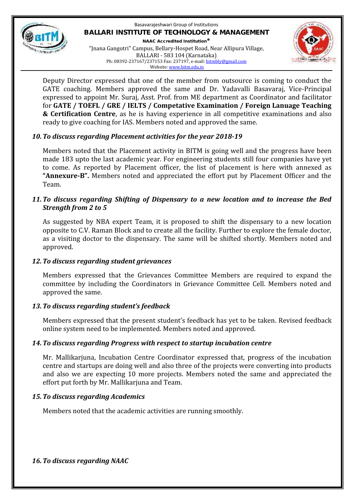

Basavarajeshwari Group of Institutions **BALLARI INSTITUTE OF TECHNOLOGY & MANAGEMENT NAAC Accredited Institution\*** "Jnana Gangotri" Campus, Bellary-Hospet Road, Near Allipura Village, BALLARI - 583 104 (Karnataka) Ph: 08392-237167/237153 Fax: 237197, e-mail: bitmbly@gmail.com Website: www.bitm.edu.in



Deputy Director expressed that one of the member from outsource is coming to conduct the GATE coaching. Members approved the same and Dr. Yadavalli Basavaraj, Vice-Principal expressed to appoint Mr. Suraj, Asst. Prof. from ME department as Coordinator and facilitator for **GATE / TOEFL / GRE / IELTS / Competative Examination / Foreign Lanuage Teaching & Certification Centre**, as he is having experience in all competitive examinations and also ready to give coaching for IAS. Members noted and approved the same.

#### *10.To discuss regarding Placement activities for the year 2018-19*

Members noted that the Placement activity in BITM is going well and the progress have been made 183 upto the last academic year. For engineering students still four companies have yet to come. As reported by Placement officer, the list of placement is here with annexed as **"Annexure-B".** Members noted and appreciated the effort put by Placement Officer and the Team.

#### *11.To discuss regarding Shifting of Dispensary to a new location and to increase the Bed Strength from 2 to 5*

As suggested by NBA expert Team, it is proposed to shift the dispensary to a new location opposite to C.V. Raman Block and to create all the facility. Further to explore the female doctor, as a visiting doctor to the dispensary. The same will be shifted shortly. Members noted and approved.

# *12.To discuss regarding student grievances*

Members expressed that the Grievances Committee Members are required to expand the committee by including the Coordinators in Grievance Committee Cell. Members noted and approved the same.

#### *13.To discuss regarding student's feedback*

Members expressed that the present student's feedback has yet to be taken. Revised feedback online system need to be implemented. Members noted and approved.

#### *14.To discuss regarding Progress with respect to startup incubation centre*

Mr. Mallikarjuna, Incubation Centre Coordinator expressed that, progress of the incubation centre and startups are doing well and also three of the projects were converting into products and also we are expecting 10 more projects. Members noted the same and appreciated the effort put forth by Mr. Mallikarjuna and Team.

#### *15.To discuss regarding Academics*

Members noted that the academic activities are running smoothly.

*16.To discuss regarding NAAC*